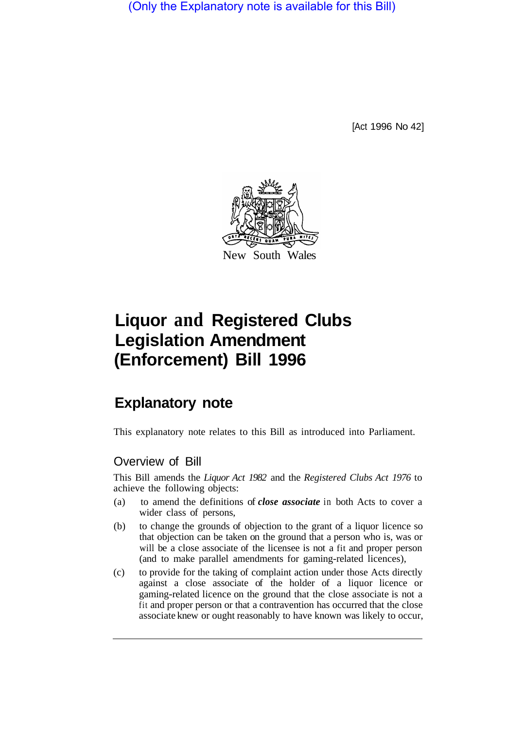(Only the Explanatory note is available for this Bill)

[Act 1996 No 42]



# **Liquor and Registered Clubs Legislation Amendment (Enforcement) Bill 1996**

# **Explanatory note**

This explanatory note relates to this Bill as introduced into Parliament.

# Overview of Bill

This Bill amends the *Liquor Act 1982* and the *Registered Clubs Act 1976* to achieve the following objects:

- (a) to amend the definitions of *close associate* in both Acts to cover a wider class of persons,
- (b) to change the grounds of objection to the grant of a liquor licence so that objection can be taken on the ground that a person who is, was or will be a close associate of the licensee is not a fit and proper person (and to make parallel amendments for gaming-related licences),
- (c) to provide for the taking of complaint action under those Acts directly against a close associate of the holder of a liquor licence or gaming-related licence on the ground that the close associate is not a fit and proper person or that a contravention has occurred that the close associate knew or ought reasonably to have known was likely to occur,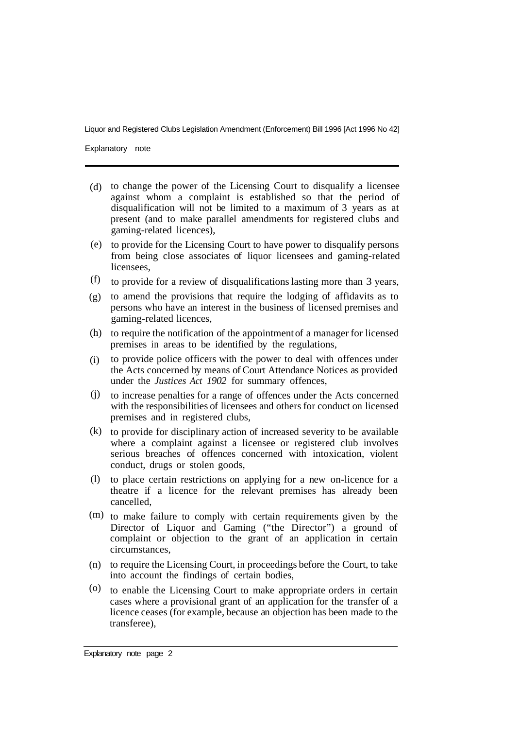Explanatory note

- (d) to change the power of the Licensing Court to disqualify a licensee against whom a complaint is established so that the period of disqualification will not be limited to a maximum of 3 years as at present (and to make parallel amendments for registered clubs and gaming-related licences),
- (e) to provide for the Licensing Court to have power to disqualify persons from being close associates of liquor licensees and gaming-related licensees,
- to provide for a review of disqualifications lasting more than 3 years, (f)
- (g) to amend the provisions that require the lodging of affidavits as to persons who have an interest in the business of licensed premises and gaming-related licences,
- (h) to require the notification of the appointment of a manager for licensed premises in areas to be identified by the regulations,
- to provide police officers with the power to deal with offences under the Acts concerned by means of Court Attendance Notices as provided under the *Justices Act 1902* for summary offences, (i)
- (j) to increase penalties for a range of offences under the Acts concerned with the responsibilities of licensees and others for conduct on licensed premises and in registered clubs,
- (k) to provide for disciplinary action of increased severity to be available where a complaint against a licensee or registered club involves serious breaches of offences concerned with intoxication, violent conduct, drugs or stolen goods,
- (l) to place certain restrictions on applying for a new on-licence for a theatre if a licence for the relevant premises has already been cancelled,
- $(m)$  to make failure to comply with certain requirements given by the Director of Liquor and Gaming ("the Director") a ground of complaint or objection to the grant of an application in certain circumstances,
- (n) to require the Licensing Court, in proceedings before the Court, to take into account the findings of certain bodies,
- to enable the Licensing Court to make appropriate orders in certain cases where a provisional grant of an application for the transfer of a licence ceases (for example, because an objection has been made to the transferee), (o)

Explanatory note page 2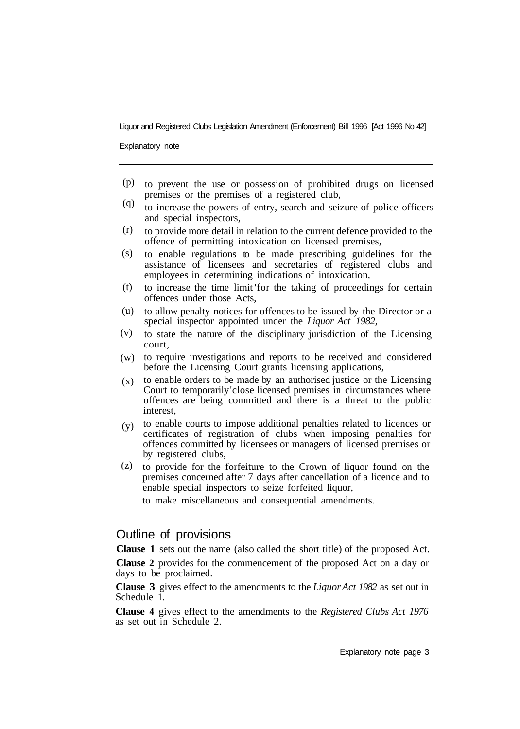Explanatory note

- to prevent the use or possession of prohibited drugs on licensed premises or the premises of a registered club, (p)
- to increase the powers of entry, search and seizure of police officers and special inspectors, (q)
- to provide more detail in relation to the current defence provided to the offence of permitting intoxication on licensed premises,  $(r)$
- to enable regulations to be made prescribing guidelines for the assistance of licensees and secretaries of registered clubs and employees in determining indications of intoxication, (s)
- to increase the time limit 'for the taking of proceedings for certain offences under those Acts, (t)
- to allow penalty notices for offences to be issued by the Director or a special inspector appointed under the *Liquor Act 1982,*  (u)
- to state the nature of the disciplinary jurisdiction of the Licensing court, (v)
- (w) to require investigations and reports to be received and considered before the Licensing Court grants licensing applications,
- $(x)$  to enable orders to be made by an authorised justice or the Licensing Court to temporarily 'close licensed premises in circumstances where offences are being committed and there is a threat to the public interest,
- to enable courts to impose additional penalties related to licences or certificates of registration of clubs when imposing penalties for offences committed by licensees or managers of licensed premises or by registered clubs,  $(y)$
- (z) to provide for the forfeiture to the Crown of liquor found on the premises concerned after 7 days after cancellation of a licence and to enable special inspectors to seize forfeited liquor,

to make miscellaneous and consequential amendments.

### Outline of provisions

**Clause 1** sets out the name (also called the short title) of the proposed Act.

**Clause 2** provides for the commencement of the proposed Act on a day or days to be proclaimed.

**Clause 3** gives effect to the amendments to the *Liquor Act 1982* as set out in Schedule 1.

**Clause 4** gives effect to the amendments to the *Registered Clubs Act 1976*  as set out in Schedule 2.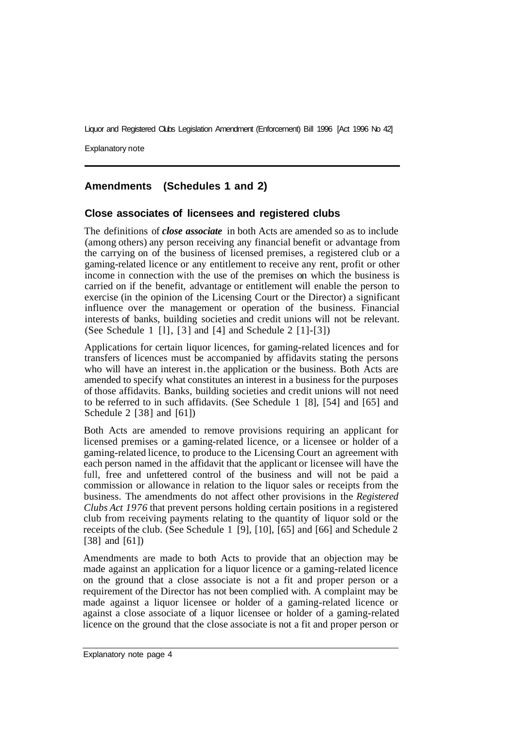Explanatory note

## **Amendments (Schedules 1 and 2)**

#### **Close associates of licensees and registered clubs**

The definitions of *close associate* in both Acts are amended so as to include (among others) any person receiving any financial benefit or advantage from the carrying on of the business of licensed premises, a registered club or a gaming-related licence or any entitlement to receive any rent, profit or other income in connection with the use of the premises on which the business is carried on if the benefit, advantage or entitlement will enable the person to exercise (in the opinion of the Licensing Court or the Director) a significant influence over the management or operation of the business. Financial interests of banks, building societies and credit unions will not be relevant. (See Schedule 1 [l], [3] and [4] and Schedule 2 [1]-[3])

Applications for certain liquor licences, for gaming-related licences and for transfers of licences must be accompanied by affidavits stating the persons who will have an interest in. the application or the business. Both Acts are amended to specify what constitutes an interest in a business for the purposes of those affidavits. Banks, building societies and credit unions will not need to be referred to in such affidavits. (See Schedule 1 [8], [54] and [65] and Schedule 2 [38] and [61])

Both Acts are amended to remove provisions requiring an applicant for licensed premises or a gaming-related licence, or a licensee or holder of a gaming-related licence, to produce to the Licensing Court an agreement with each person named in the affidavit that the applicant or licensee will have the full, free and unfettered control of the business and will not be paid a commission or allowance in relation to the liquor sales or receipts from the business. The amendments do not affect other provisions in the *Registered Clubs Act 1976* that prevent persons holding certain positions in a registered club from receiving payments relating to the quantity of liquor sold or the receipts of the club. (See Schedule 1 [9], [10], [65] and [66] and Schedule 2 [38] and [61])

Amendments are made to both Acts to provide that an objection may be made against an application for a liquor licence or a gaming-related licence on the ground that a close associate is not a fit and proper person or a requirement of the Director has not been complied with. A complaint may be made against a liquor licensee or holder of a gaming-related licence or against a close associate of a liquor licensee or holder of a gaming-related licence on the ground that the close associate is not a fit and proper person or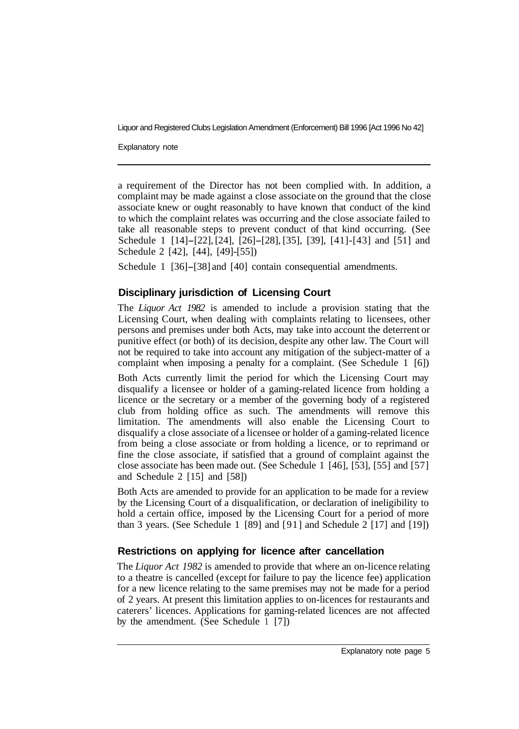Explanatory note

a requirement of the Director has not been complied with. In addition, a complaint may be made against a close associate on the ground that the close associate knew or ought reasonably to have known that conduct of the kind to which the complaint relates was occurring and the close associate failed to take all reasonable steps to prevent conduct of that kind occurring. (See Schedule 1 [14]-[22], [24], [26]-[28], [35], [39], [41]-[43] and [51] and Schedule 2 [42], [44], [49]-[55])

Schedule 1 [36]–[38] and [40] contain consequential amendments.

# **Disciplinary jurisdiction of Licensing Court**

The *Liquor Act 1982* is amended to include a provision stating that the Licensing Court, when dealing with complaints relating to licensees, other persons and premises under both Acts, may take into account the deterrent or punitive effect (or both) of its decision, despite any other law. The Court will not be required to take into account any mitigation of the subject-matter of a complaint when imposing a penalty for a complaint. (See Schedule 1 [6])

Both Acts currently limit the period for which the Licensing Court may disqualify a licensee or holder of a gaming-related licence from holding a licence or the secretary or a member of the governing body of a registered club from holding office as such. The amendments will remove this limitation. The amendments will also enable the Licensing Court to disqualify a close associate of a licensee or holder of a gaming-related licence from being a close associate or from holding a licence, or to reprimand or fine the close associate, if satisfied that a ground of complaint against the close associate has been made out. (See Schedule 1 [46], [53], [55] and [57] and Schedule 2 [15] and [58])

Both Acts are amended to provide for an application to be made for a review by the Licensing Court of a disqualification, or declaration of ineligibility to hold a certain office, imposed by the Licensing Court for a period of more than 3 years. (See Schedule 1 [89] and [91] and Schedule 2 [17] and [19])

# **Restrictions on applying for licence after cancellation**

The *Liquor Act 1982* is amended to provide that where an on-licence relating to a theatre is cancelled (except for failure to pay the licence fee) application for a new licence relating to the same premises may not be made for a period of 2 years. At present this limitation applies to on-licences for restaurants and caterers' licences. Applications for gaming-related licences are not affected by the amendment. (See Schedule  $1$  [7])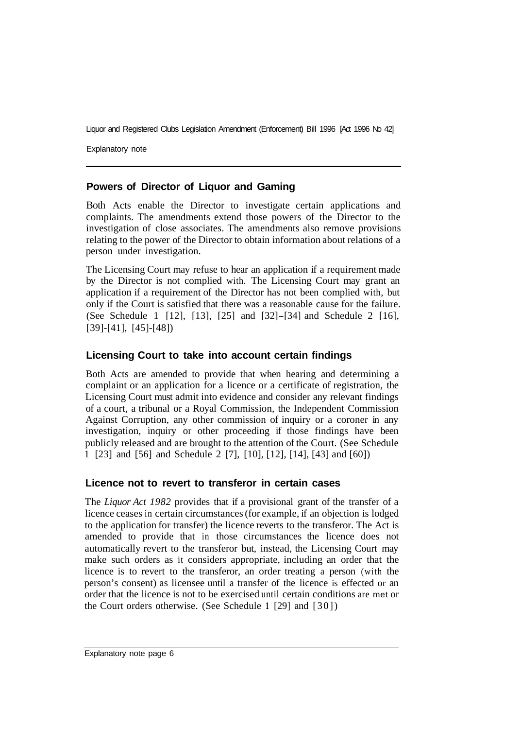Explanatory note

### **Powers of Director of Liquor and Gaming**

Both Acts enable the Director to investigate certain applications and complaints. The amendments extend those powers of the Director to the investigation of close associates. The amendments also remove provisions relating to the power of the Director to obtain information about relations of a person under investigation.

The Licensing Court may refuse to hear an application if a requirement made by the Director is not complied with. The Licensing Court may grant an application if a requirement of the Director has not been complied with, but only if the Court is satisfied that there was a reasonable cause for the failure. (See Schedule 1 [12], [13], [25] and [32]-[34] and Schedule 2 [16], [39]-[41], [45]-[48])

### **Licensing Court to take into account certain findings**

Both Acts are amended to provide that when hearing and determining a complaint or an application for a licence or a certificate of registration, the Licensing Court must admit into evidence and consider any relevant findings of a court, a tribunal or a Royal Commission, the Independent Commission Against Corruption, any other commission of inquiry or a coroner in any investigation, inquiry or other proceeding if those findings have been publicly released and are brought to the attention of the Court. (See Schedule 1 [23] and [56] and Schedule 2 [7], [10], [12], [14], [43] and [60])

#### **Licence not to revert to transferor in certain cases**

The *Liquor Act 1982* provides that if a provisional grant of the transfer of a licence ceases in certain circumstances (for example, if an objection is lodged to the application for transfer) the licence reverts to the transferor. The Act is amended to provide that in those circumstances the licence does not automatically revert to the transferor but, instead, the Licensing Court may make such orders as it considers appropriate, including an order that the licence is to revert to the transferor, an order treating a person (with the person's consent) as licensee until a transfer of the licence is effected or an order that the licence is not to be exercised until certain conditions are met or the Court orders otherwise. (See Schedule **1** [29] and [30])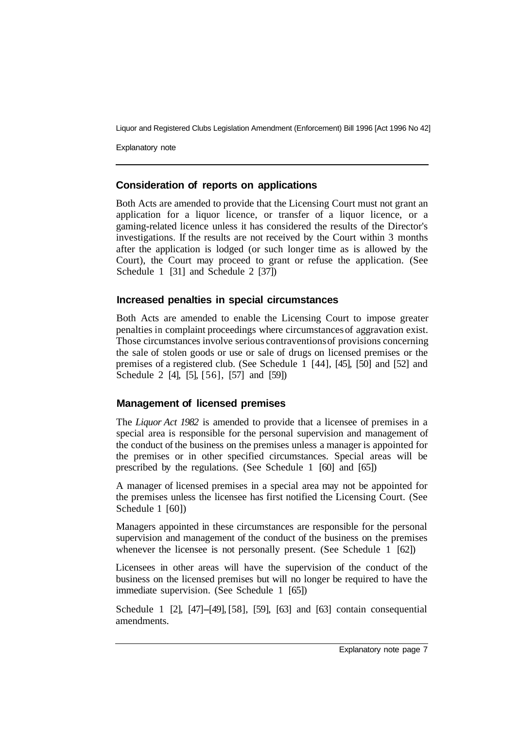Explanatory note

### **Consideration of reports on applications**

Both Acts are amended to provide that the Licensing Court must not grant an application for a liquor licence, or transfer of a liquor licence, or a gaming-related licence unless it has considered the results of the Director's investigations. If the results are not received by the Court within 3 months after the application is lodged (or such longer time as is allowed by the Court), the Court may proceed to grant or refuse the application. (See Schedule 1 [31] and Schedule 2 [37])

### **Increased penalties in special circumstances**

Both Acts are amended to enable the Licensing Court to impose greater penalties in complaint proceedings where circumstances of aggravation exist. Those circumstances involve serious contraventions of provisions concerning the sale of stolen goods or use or sale of drugs on licensed premises or the premises of a registered club. (See Schedule 1 [44], [45], [50] and [52] and Schedule 2 [4], [5], [56], [57] and [59])

### **Management of licensed premises**

The *Liquor Act 1982* is amended to provide that a licensee of premises in a special area is responsible for the personal supervision and management of the conduct of the business on the premises unless a manager is appointed for the premises or in other specified circumstances. Special areas will be prescribed by the regulations. (See Schedule 1 [60] and [65])

A manager of licensed premises in a special area may not be appointed for the premises unless the licensee has first notified the Licensing Court. (See Schedule 1 [60])

Managers appointed in these circumstances are responsible for the personal supervision and management of the conduct of the business on the premises whenever the licensee is not personally present. (See Schedule 1 [62])

Licensees in other areas will have the supervision of the conduct of the business on the licensed premises but will no longer be required to have the immediate supervision. (See Schedule 1 [65])

Schedule 1 [2], [47]-[49], [58], [59], [63] and [63] contain consequential amendments.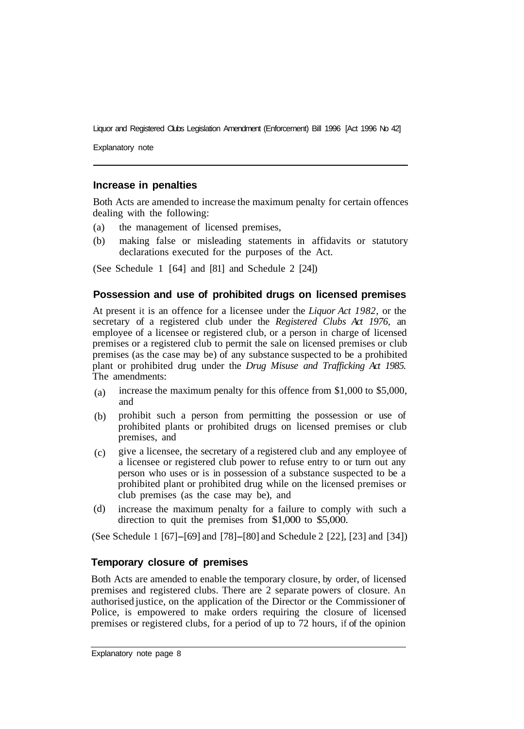Explanatory note

#### **Increase in penalties**

Both Acts are amended to increase the maximum penalty for certain offences dealing with the following:

- (a) the management of licensed premises,
- (b) making false or misleading statements in affidavits or statutory declarations executed for the purposes of the Act.

(See Schedule 1 [64] and [81] and Schedule 2 [24])

#### **Possession and use of prohibited drugs on licensed premises**

At present it is an offence for a licensee under the *Liquor Act 1982,* or the secretary of a registered club under the *Registered Clubs Act 1976,* an employee of a licensee or registered club, or a person in charge of licensed premises or a registered club to permit the sale on licensed premises or club premises (as the case may be) of any substance suspected to be a prohibited plant or prohibited drug under the *Drug Misuse and Trafficking Act 1985.*  The amendments:

- increase the maximum penalty for this offence from \$1,000 to \$5,000, and (a)
- prohibit such a person from permitting the possession or use of prohibited plants or prohibited drugs on licensed premises or club premises, and (b)
- give a licensee, the secretary of a registered club and any employee of a licensee or registered club power to refuse entry to or turn out any person who uses or is in possession of a substance suspected to be a prohibited plant or prohibited drug while on the licensed premises or club premises (as the case may be), and (c)
- increase the maximum penalty for a failure to comply with such a direction to quit the premises from \$1,000 to \$5,000. (d)

(See Schedule 1 [67]-[69] and [78]-[80] and Schedule 2 [22], [23] and [34])

### **Temporary closure of premises**

Both Acts are amended to enable the temporary closure, by order, of licensed premises and registered clubs. There are 2 separate powers of closure. An authorised justice, on the application of the Director or the Commissioner of Police, is empowered to make orders requiring the closure of licensed premises or registered clubs, for a period of up to 72 hours, if of the opinion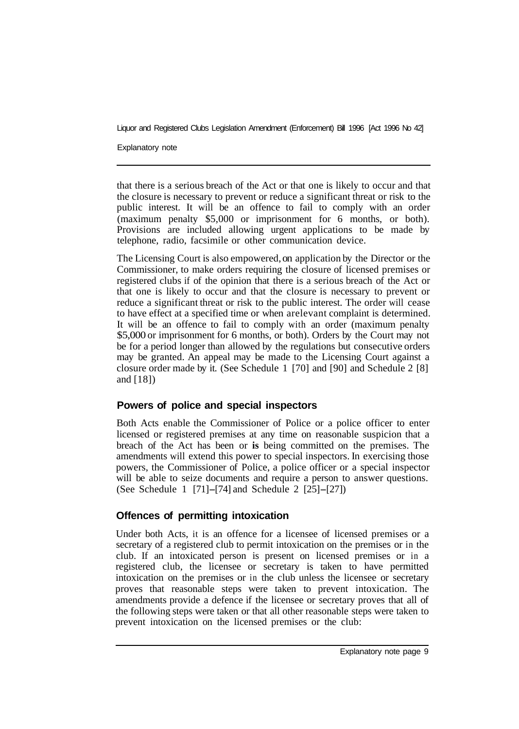Explanatory note

that there is a serious breach of the Act or that one is likely to occur and that the closure is necessary to prevent or reduce a significant threat or risk to the public interest. It will be an offence to fail to comply with an order (maximum penalty \$5,000 or imprisonment for 6 months, or both). Provisions are included allowing urgent applications to be made by telephone, radio, facsimile or other communication device.

The Licensing Court is also empowered, on application by the Director or the Commissioner, to make orders requiring the closure of licensed premises or registered clubs if of the opinion that there is a serious breach of the Act or that one is likely to occur and that the closure is necessary to prevent or reduce a significant threat or risk to the public interest. The order will cease to have effect at a specified time or when a relevant complaint is determined. It will be an offence to fail to comply with an order (maximum penalty \$5,000 or imprisonment for 6 months, or both). Orders by the Court may not be for a period longer than allowed by the regulations but consecutive orders may be granted. An appeal may be made to the Licensing Court against a closure order made by it. (See Schedule 1 [70] and [90] and Schedule 2 [8] and [18])

# **Powers of police and special inspectors**

Both Acts enable the Commissioner of Police or a police officer to enter licensed or registered premises at any time on reasonable suspicion that a breach of the Act has been or **is** being committed on the premises. The amendments will extend this power to special inspectors. In exercising those powers, the Commissioner of Police, a police officer or a special inspector will be able to seize documents and require a person to answer questions. (See Schedule 1 [71]-[74] and Schedule 2 [25]-[27])

# **Offences of permitting intoxication**

Under both Acts, it is an offence for a licensee of licensed premises or a secretary of a registered club to permit intoxication on the premises or in the club. If an intoxicated person is present on licensed premises or in a registered club, the licensee or secretary is taken to have permitted intoxication on the premises or in the club unless the licensee or secretary proves that reasonable steps were taken to prevent intoxication. The amendments provide a defence if the licensee or secretary proves that all of the following steps were taken or that all other reasonable steps were taken to prevent intoxication on the licensed premises or the club: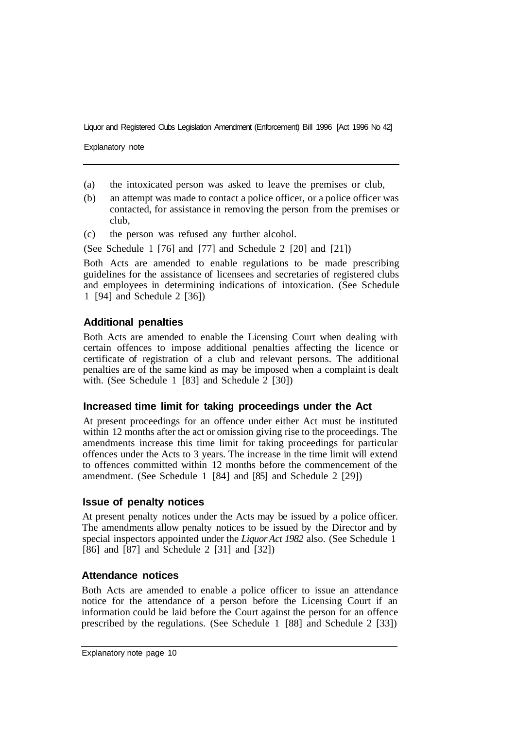Explanatory note

- (a) the intoxicated person was asked to leave the premises or club,
- (b) an attempt was made to contact a police officer, or a police officer was contacted, for assistance in removing the person from the premises or club,
- (c) the person was refused any further alcohol.

(See Schedule 1 [76] and [77] and Schedule 2 [20] and [21])

Both Acts are amended to enable regulations to be made prescribing guidelines for the assistance of licensees and secretaries of registered clubs and employees in determining indications of intoxication. (See Schedule 1 [94] and Schedule 2 [36])

#### **Additional penalties**

Both Acts are amended to enable the Licensing Court when dealing with certain offences to impose additional penalties affecting the licence or certificate of registration of a club and relevant persons. The additional penalties are of the same kind as may be imposed when a complaint is dealt with. (See Schedule 1 [83] and Schedule 2 [30])

#### **Increased time limit for taking proceedings under the Act**

At present proceedings for an offence under either Act must be instituted within 12 months after the act or omission giving rise to the proceedings. The amendments increase this time limit for taking proceedings for particular offences under the Acts to 3 years. The increase in the time limit will extend to offences committed within 12 months before the commencement of the amendment. (See Schedule 1 [84] and [85] and Schedule 2 [29])

### **Issue of penalty notices**

At present penalty notices under the Acts may be issued by a police officer. The amendments allow penalty notices to be issued by the Director and by special inspectors appointed under the *Liquor Act 1982* also. (See Schedule 1 [86] and [87] and Schedule 2 [31] and [32])

### **Attendance notices**

Both Acts are amended to enable a police officer to issue an attendance notice for the attendance of a person before the Licensing Court if an information could be laid before the Court against the person for an offence prescribed by the regulations. (See Schedule 1 [88] and Schedule 2 [33])